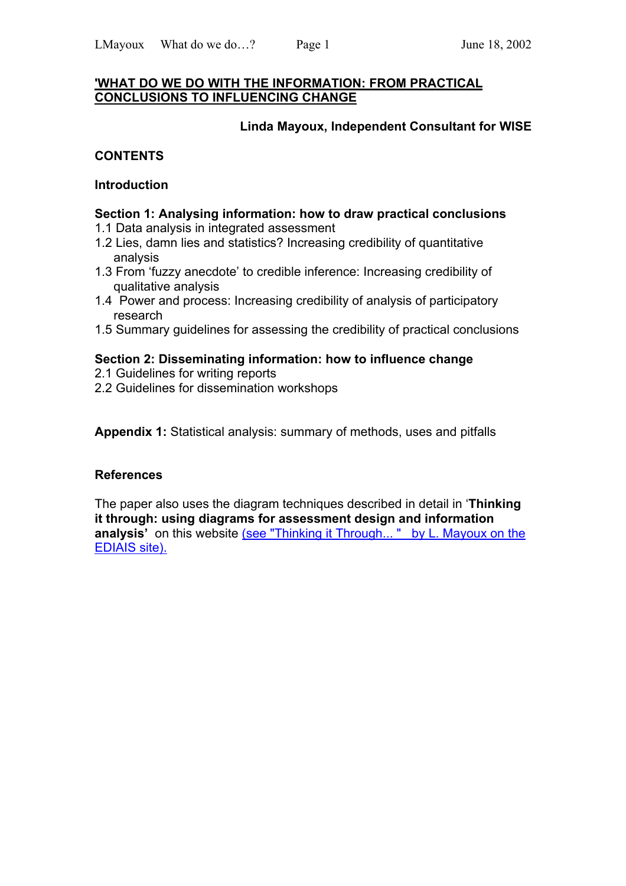#### **'WHAT DO WE DO WITH THE INFORMATION: FROM PRACTICAL CONCLUSIONS TO INFLUENCING CHANGE**

### **Linda Mayoux, Independent Consultant for WISE**

## **CONTENTS**

#### **Introduction**

#### **Section 1: Analysing information: how to draw practical conclusions**

- 1.1 Data analysis in integrated assessment
- 1.2 Lies, damn lies and statistics? Increasing credibility of quantitative analysis
- 1.3 From 'fuzzy anecdote' to credible inference: Increasing credibility of qualitative analysis
- 1.4 Power and process: Increasing credibility of analysis of participatory research
- 1.5 Summary guidelines for assessing the credibility of practical conclusions

### **Section 2: Disseminating information: how to influence change**

- 2.1 Guidelines for writing reports
- 2.2 Guidelines for dissemination workshops

**Appendix 1:** Statistical analysis: summary of methods, uses and pitfalls

### **References**

The paper also uses the diagram techniques described in detail in '**Thinking it through: using diagrams for assessment design and information analysis'** on this website (see "Thinking it Through... " by L. Mayoux on the EDIAIS site).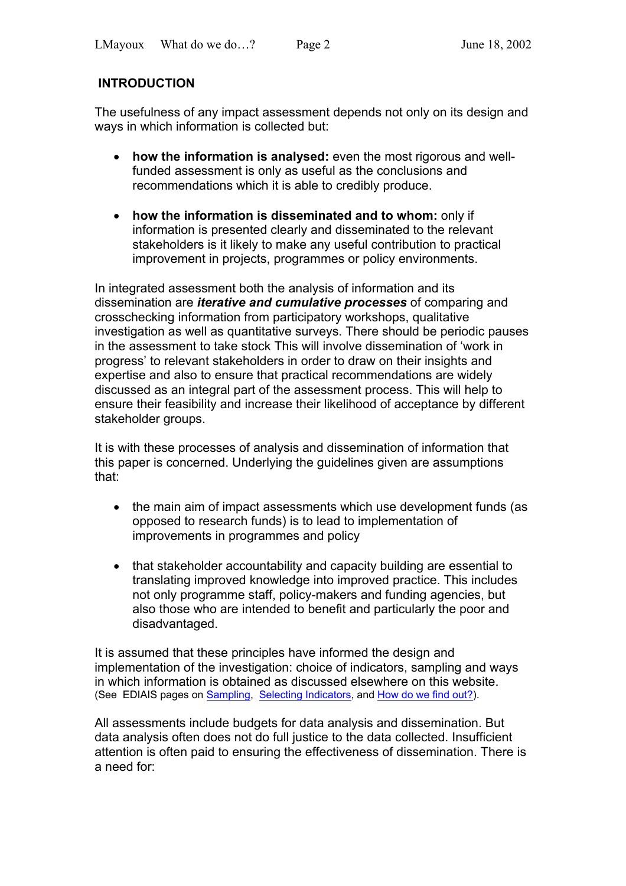# **INTRODUCTION**

The usefulness of any impact assessment depends not only on its design and ways in which information is collected but:

- **how the information is analysed:** even the most rigorous and wellfunded assessment is only as useful as the conclusions and recommendations which it is able to credibly produce.
- **how the information is disseminated and to whom:** only if information is presented clearly and disseminated to the relevant stakeholders is it likely to make any useful contribution to practical improvement in projects, programmes or policy environments.

In integrated assessment both the analysis of information and its dissemination are *iterative and cumulative processes* of comparing and crosschecking information from participatory workshops, qualitative investigation as well as quantitative surveys. There should be periodic pauses in the assessment to take stock This will involve dissemination of 'work in progress' to relevant stakeholders in order to draw on their insights and expertise and also to ensure that practical recommendations are widely discussed as an integral part of the assessment process. This will help to ensure their feasibility and increase their likelihood of acceptance by different stakeholder groups.

It is with these processes of analysis and dissemination of information that this paper is concerned. Underlying the guidelines given are assumptions that:

- the main aim of impact assessments which use development funds (as opposed to research funds) is to lead to implementation of improvements in programmes and policy
- that stakeholder accountability and capacity building are essential to translating improved knowledge into improved practice. This includes not only programme staff, policy-makers and funding agencies, but also those who are intended to benefit and particularly the poor and disadvantaged.

It is assumed that these principles have informed the design and implementation of the investigation: choice of indicators, sampling and ways in which information is obtained as discussed elsewhere on this website. (See EDIAIS pages on **Sampling, Selecting Indicators**, and How do we find out?).

All assessments include budgets for data analysis and dissemination. But data analysis often does not do full justice to the data collected. Insufficient attention is often paid to ensuring the effectiveness of dissemination. There is a need for: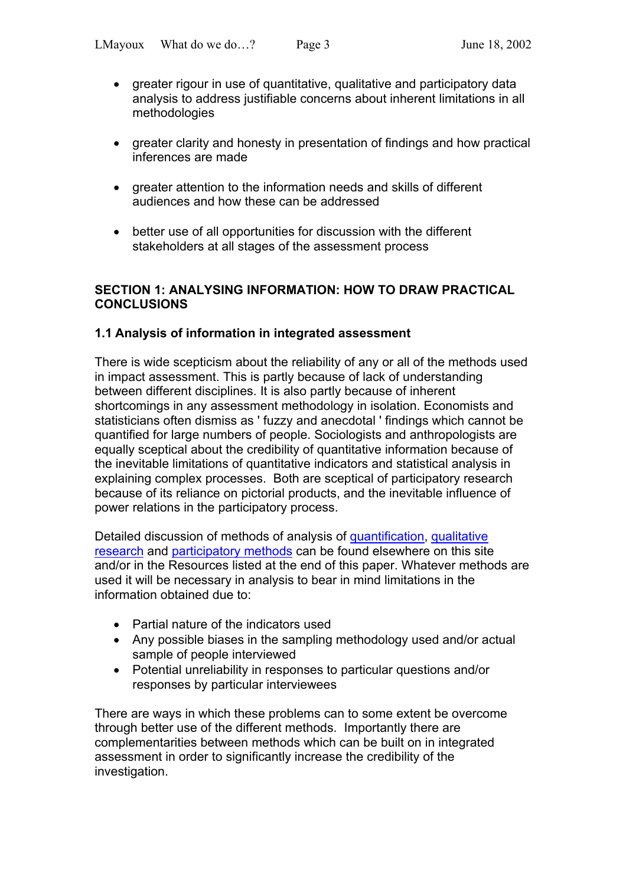- greater rigour in use of quantitative, qualitative and participatory data analysis to address justifiable concerns about inherent limitations in all methodologies
- greater clarity and honesty in presentation of findings and how practical inferences are made
- greater attention to the information needs and skills of different audiences and how these can be addressed
- better use of all opportunities for discussion with the different stakeholders at all stages of the assessment process

### **SECTION 1: ANALYSING INFORMATION: HOW TO DRAW PRACTICAL CONCLUSIONS**

## **1.1 Analysis of information in integrated assessment**

There is wide scepticism about the reliability of any or all of the methods used in impact assessment. This is partly because of lack of understanding between different disciplines. It is also partly because of inherent shortcomings in any assessment methodology in isolation. Economists and statisticians often dismiss as ' fuzzy and anecdotal ' findings which cannot be quantified for large numbers of people. Sociologists and anthropologists are equally sceptical about the credibility of quantitative information because of the inevitable limitations of quantitative indicators and statistical analysis in explaining complex processes. Both are sceptical of participatory research because of its reliance on pictorial products, and the inevitable influence of power relations in the participatory process.

Detailed discussion of methods of analysis of quantification, qualitative research and participatory methods can be found elsewhere on this site and/or in the Resources listed at the end of this paper. Whatever methods are used it will be necessary in analysis to bear in mind limitations in the information obtained due to:

- Partial nature of the indicators used
- Any possible biases in the sampling methodology used and/or actual sample of people interviewed
- Potential unreliability in responses to particular questions and/or responses by particular interviewees

There are ways in which these problems can to some extent be overcome through better use of the different methods. Importantly there are complementarities between methods which can be built on in integrated assessment in order to significantly increase the credibility of the investigation.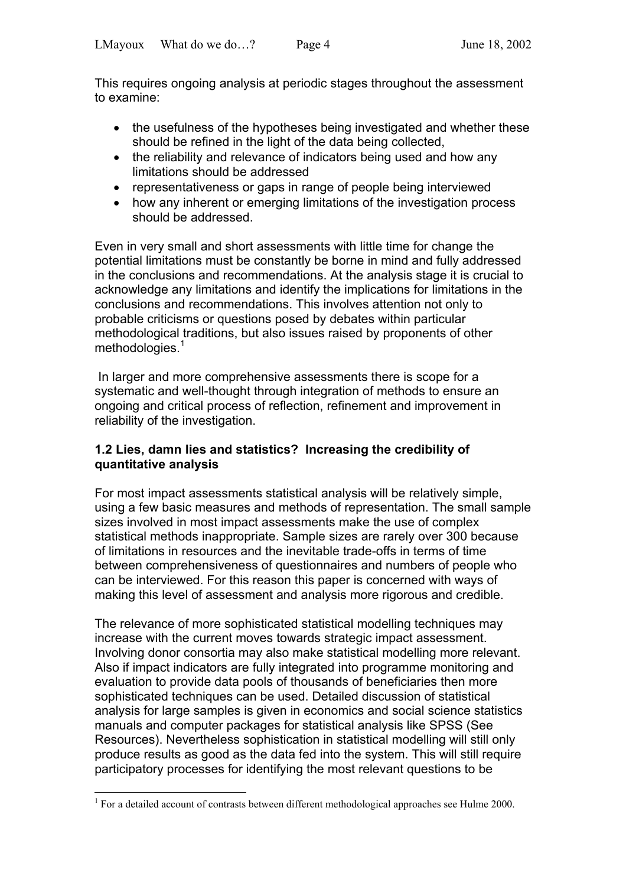This requires ongoing analysis at periodic stages throughout the assessment to examine:

- the usefulness of the hypotheses being investigated and whether these should be refined in the light of the data being collected,
- the reliability and relevance of indicators being used and how any limitations should be addressed
- representativeness or gaps in range of people being interviewed
- how any inherent or emerging limitations of the investigation process should be addressed.

Even in very small and short assessments with little time for change the potential limitations must be constantly be borne in mind and fully addressed in the conclusions and recommendations. At the analysis stage it is crucial to acknowledge any limitations and identify the implications for limitations in the conclusions and recommendations. This involves attention not only to probable criticisms or questions posed by debates within particular methodological traditions, but also issues raised by proponents of other methodologies.<sup>[1](#page-3-0)</sup>

 In larger and more comprehensive assessments there is scope for a systematic and well-thought through integration of methods to ensure an ongoing and critical process of reflection, refinement and improvement in reliability of the investigation.

## **1.2 Lies, damn lies and statistics? Increasing the credibility of quantitative analysis**

For most impact assessments statistical analysis will be relatively simple, using a few basic measures and methods of representation. The small sample sizes involved in most impact assessments make the use of complex statistical methods inappropriate. Sample sizes are rarely over 300 because of limitations in resources and the inevitable trade-offs in terms of time between comprehensiveness of questionnaires and numbers of people who can be interviewed. For this reason this paper is concerned with ways of making this level of assessment and analysis more rigorous and credible.

The relevance of more sophisticated statistical modelling techniques may increase with the current moves towards strategic impact assessment. Involving donor consortia may also make statistical modelling more relevant. Also if impact indicators are fully integrated into programme monitoring and evaluation to provide data pools of thousands of beneficiaries then more sophisticated techniques can be used. Detailed discussion of statistical analysis for large samples is given in economics and social science statistics manuals and computer packages for statistical analysis like SPSS (See Resources). Nevertheless sophistication in statistical modelling will still only produce results as good as the data fed into the system. This will still require participatory processes for identifying the most relevant questions to be

<span id="page-3-0"></span> 1 For a detailed account of contrasts between different methodological approaches see Hulme 2000.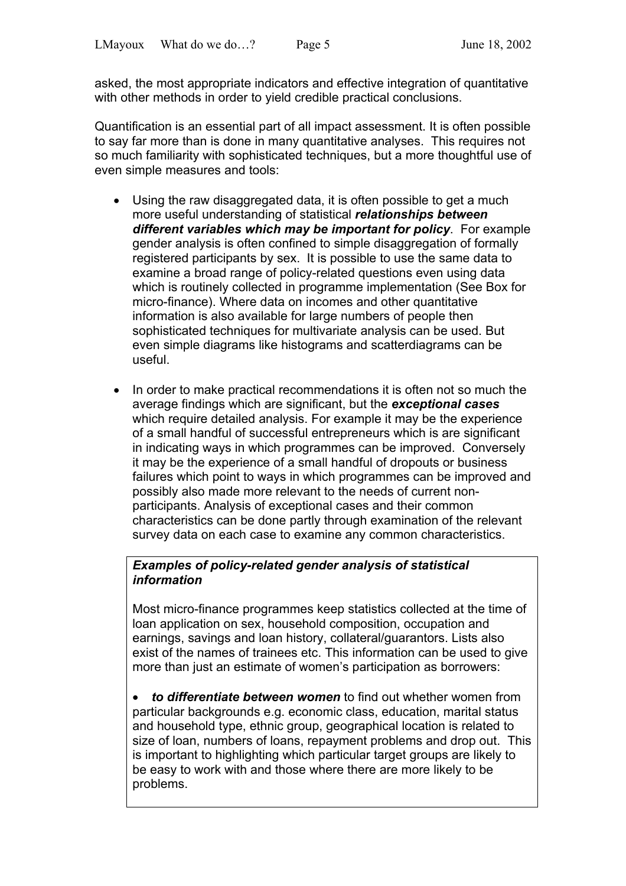asked, the most appropriate indicators and effective integration of quantitative with other methods in order to yield credible practical conclusions.

Quantification is an essential part of all impact assessment. It is often possible to say far more than is done in many quantitative analyses. This requires not so much familiarity with sophisticated techniques, but a more thoughtful use of even simple measures and tools:

- Using the raw disaggregated data, it is often possible to get a much more useful understanding of statistical *relationships between different variables which may be important for policy*. For example gender analysis is often confined to simple disaggregation of formally registered participants by sex. It is possible to use the same data to examine a broad range of policy-related questions even using data which is routinely collected in programme implementation (See Box for micro-finance). Where data on incomes and other quantitative information is also available for large numbers of people then sophisticated techniques for multivariate analysis can be used. But even simple diagrams like histograms and scatterdiagrams can be useful.
- In order to make practical recommendations it is often not so much the average findings which are significant, but the *exceptional cases* which require detailed analysis. For example it may be the experience of a small handful of successful entrepreneurs which is are significant in indicating ways in which programmes can be improved. Conversely it may be the experience of a small handful of dropouts or business failures which point to ways in which programmes can be improved and possibly also made more relevant to the needs of current nonparticipants. Analysis of exceptional cases and their common characteristics can be done partly through examination of the relevant survey data on each case to examine any common characteristics.

# *Examples of policy-related gender analysis of statistical information*

Most micro-finance programmes keep statistics collected at the time of loan application on sex, household composition, occupation and earnings, savings and loan history, collateral/guarantors. Lists also exist of the names of trainees etc. This information can be used to give more than just an estimate of women's participation as borrowers:

• *to differentiate between women* to find out whether women from particular backgrounds e.g. economic class, education, marital status and household type, ethnic group, geographical location is related to size of loan, numbers of loans, repayment problems and drop out. This is important to highlighting which particular target groups are likely to be easy to work with and those where there are more likely to be problems.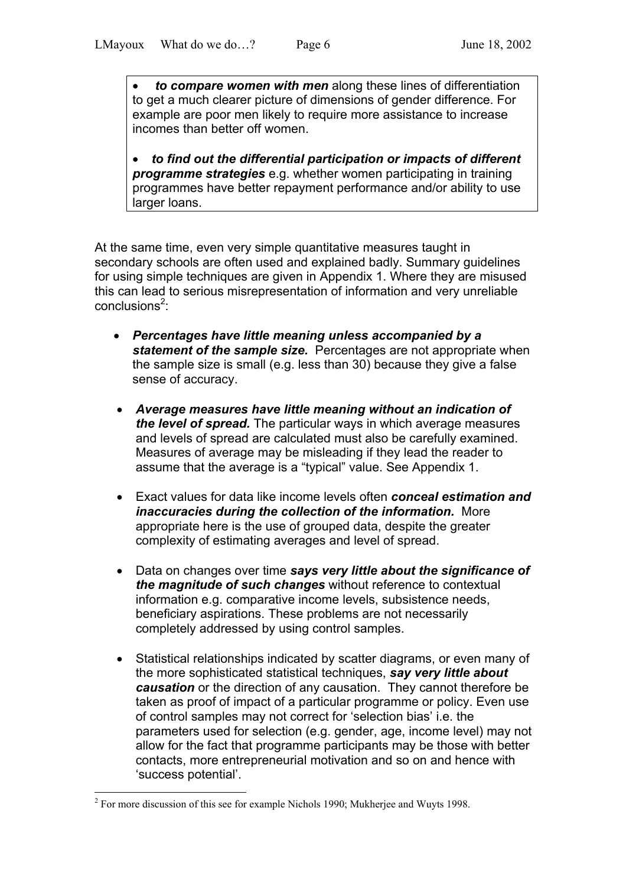• *to compare women with men* along these lines of differentiation to get a much clearer picture of dimensions of gender difference. For example are poor men likely to require more assistance to increase incomes than better off women.

• *to find out the differential participation or impacts of different programme strategies* e.g. whether women participating in training programmes have better repayment performance and/or ability to use larger loans.

At the same time, even very simple quantitative measures taught in secondary schools are often used and explained badly. Summary guidelines for using simple techniques are given in Appendix 1. Where they are misused this can lead to serious misrepresentation of information and very unreliable conclusions<sup>[2](#page-5-0)</sup>:

- *Percentages have little meaning unless accompanied by a statement of the sample size.* Percentages are not appropriate when the sample size is small (e.g. less than 30) because they give a false sense of accuracy.
- *Average measures have little meaning without an indication of the level of spread.* The particular ways in which average measures and levels of spread are calculated must also be carefully examined. Measures of average may be misleading if they lead the reader to assume that the average is a "typical" value. See Appendix 1.
- Exact values for data like income levels often *conceal estimation and inaccuracies during the collection of the information.* More appropriate here is the use of grouped data, despite the greater complexity of estimating averages and level of spread.
- Data on changes over time *says very little about the significance of the magnitude of such changes* without reference to contextual information e.g. comparative income levels, subsistence needs, beneficiary aspirations. These problems are not necessarily completely addressed by using control samples.
- Statistical relationships indicated by scatter diagrams, or even many of the more sophisticated statistical techniques, *say very little about causation* or the direction of any causation. They cannot therefore be taken as proof of impact of a particular programme or policy. Even use of control samples may not correct for 'selection bias' i.e. the parameters used for selection (e.g. gender, age, income level) may not allow for the fact that programme participants may be those with better contacts, more entrepreneurial motivation and so on and hence with 'success potential'.

 $\overline{a}$ 

<span id="page-5-0"></span> $2^2$  For more discussion of this see for example Nichols 1990; Mukherjee and Wuyts 1998.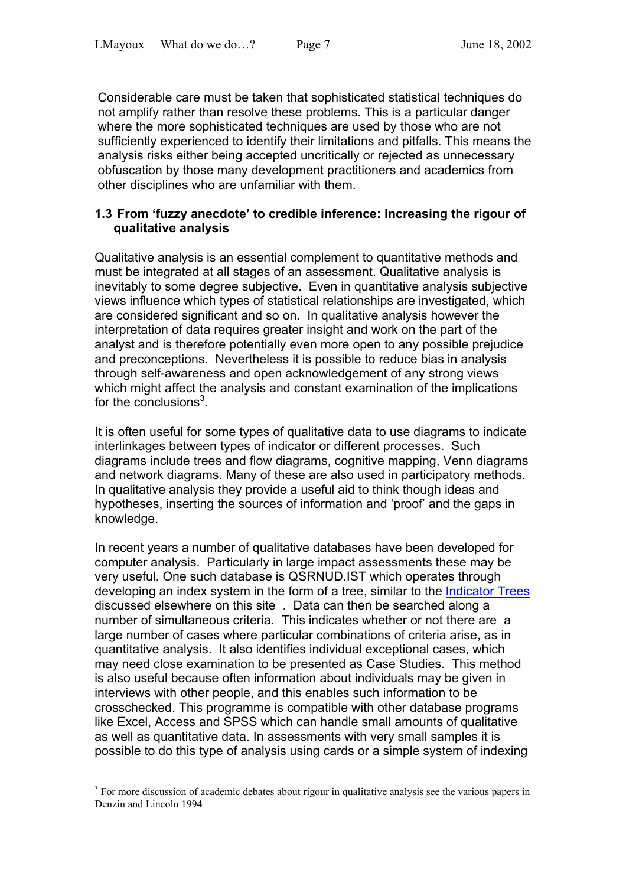Considerable care must be taken that sophisticated statistical techniques do not amplify rather than resolve these problems. This is a particular danger where the more sophisticated techniques are used by those who are not sufficiently experienced to identify their limitations and pitfalls. This means the analysis risks either being accepted uncritically or rejected as unnecessary obfuscation by those many development practitioners and academics from other disciplines who are unfamiliar with them.

## **1.3 From 'fuzzy anecdote' to credible inference: Increasing the rigour of qualitative analysis**

Qualitative analysis is an essential complement to quantitative methods and must be integrated at all stages of an assessment. Qualitative analysis is inevitably to some degree subjective. Even in quantitative analysis subjective views influence which types of statistical relationships are investigated, which are considered significant and so on. In qualitative analysis however the interpretation of data requires greater insight and work on the part of the analyst and is therefore potentially even more open to any possible prejudice and preconceptions. Nevertheless it is possible to reduce bias in analysis through self-awareness and open acknowledgement of any strong views which might affect the analysis and constant examination of the implications for the conclusions $3$ .

It is often useful for some types of qualitative data to use diagrams to indicate interlinkages between types of indicator or different processes. Such diagrams include trees and flow diagrams, cognitive mapping, Venn diagrams and network diagrams. Many of these are also used in participatory methods. In qualitative analysis they provide a useful aid to think though ideas and hypotheses, inserting the sources of information and 'proof' and the gaps in knowledge.

In recent years a number of qualitative databases have been developed for computer analysis. Particularly in large impact assessments these may be very useful. One such database is QSRNUD.IST which operates through developing an index system in the form of a tree, similar to the Indicator Trees discussed elsewhere on this site . Data can then be searched along a number of simultaneous criteria. This indicates whether or not there are a large number of cases where particular combinations of criteria arise, as in quantitative analysis. It also identifies individual exceptional cases, which may need close examination to be presented as Case Studies. This method is also useful because often information about individuals may be given in interviews with other people, and this enables such information to be crosschecked. This programme is compatible with other database programs like Excel, Access and SPSS which can handle small amounts of qualitative as well as quantitative data. In assessments with very small samples it is possible to do this type of analysis using cards or a simple system of indexing

 $\overline{a}$ 

<span id="page-6-0"></span><sup>&</sup>lt;sup>3</sup> For more discussion of academic debates about rigour in qualitative analysis see the various papers in Denzin and Lincoln 1994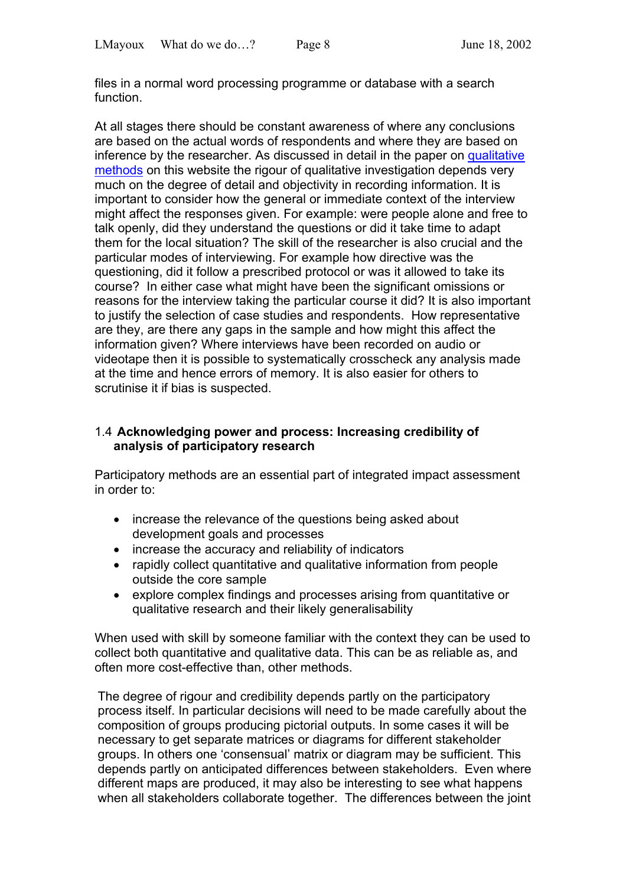files in a normal word processing programme or database with a search function.

At all stages there should be constant awareness of where any conclusions are based on the actual words of respondents and where they are based on inference by the researcher. As discussed in detail in the paper on qualitative methods on this website the rigour of qualitative investigation depends very much on the degree of detail and objectivity in recording information. It is important to consider how the general or immediate context of the interview might affect the responses given. For example: were people alone and free to talk openly, did they understand the questions or did it take time to adapt them for the local situation? The skill of the researcher is also crucial and the particular modes of interviewing. For example how directive was the questioning, did it follow a prescribed protocol or was it allowed to take its course? In either case what might have been the significant omissions or reasons for the interview taking the particular course it did? It is also important to justify the selection of case studies and respondents. How representative are they, are there any gaps in the sample and how might this affect the information given? Where interviews have been recorded on audio or videotape then it is possible to systematically crosscheck any analysis made at the time and hence errors of memory. It is also easier for others to scrutinise it if bias is suspected.

### 1.4 **Acknowledging power and process: Increasing credibility of analysis of participatory research**

Participatory methods are an essential part of integrated impact assessment in order to:

- increase the relevance of the questions being asked about development goals and processes
- increase the accuracy and reliability of indicators
- rapidly collect quantitative and qualitative information from people outside the core sample
- explore complex findings and processes arising from quantitative or qualitative research and their likely generalisability

When used with skill by someone familiar with the context they can be used to collect both quantitative and qualitative data. This can be as reliable as, and often more cost-effective than, other methods.

The degree of rigour and credibility depends partly on the participatory process itself. In particular decisions will need to be made carefully about the composition of groups producing pictorial outputs. In some cases it will be necessary to get separate matrices or diagrams for different stakeholder groups. In others one 'consensual' matrix or diagram may be sufficient. This depends partly on anticipated differences between stakeholders. Even where different maps are produced, it may also be interesting to see what happens when all stakeholders collaborate together. The differences between the joint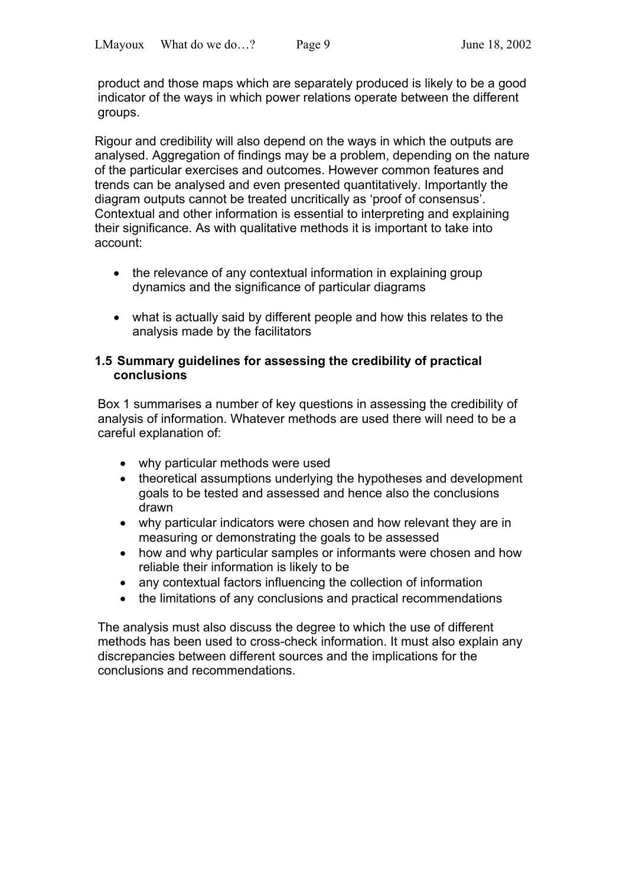product and those maps which are separately produced is likely to be a good indicator of the ways in which power relations operate between the different groups.

Rigour and credibility will also depend on the ways in which the outputs are analysed. Aggregation of findings may be a problem, depending on the nature of the particular exercises and outcomes. However common features and trends can be analysed and even presented quantitatively. Importantly the diagram outputs cannot be treated uncritically as 'proof of consensus'. Contextual and other information is essential to interpreting and explaining their significance. As with qualitative methods it is important to take into account:

- the relevance of any contextual information in explaining group dynamics and the significance of particular diagrams
- what is actually said by different people and how this relates to the analysis made by the facilitators

#### **1.5 Summary guidelines for assessing the credibility of practical conclusions**

Box 1 summarises a number of key questions in assessing the credibility of analysis of information. Whatever methods are used there will need to be a careful explanation of:

- why particular methods were used
- theoretical assumptions underlying the hypotheses and development goals to be tested and assessed and hence also the conclusions drawn
- why particular indicators were chosen and how relevant they are in measuring or demonstrating the goals to be assessed
- how and why particular samples or informants were chosen and how reliable their information is likely to be
- any contextual factors influencing the collection of information
- the limitations of any conclusions and practical recommendations

The analysis must also discuss the degree to which the use of different methods has been used to cross-check information. It must also explain any discrepancies between different sources and the implications for the conclusions and recommendations.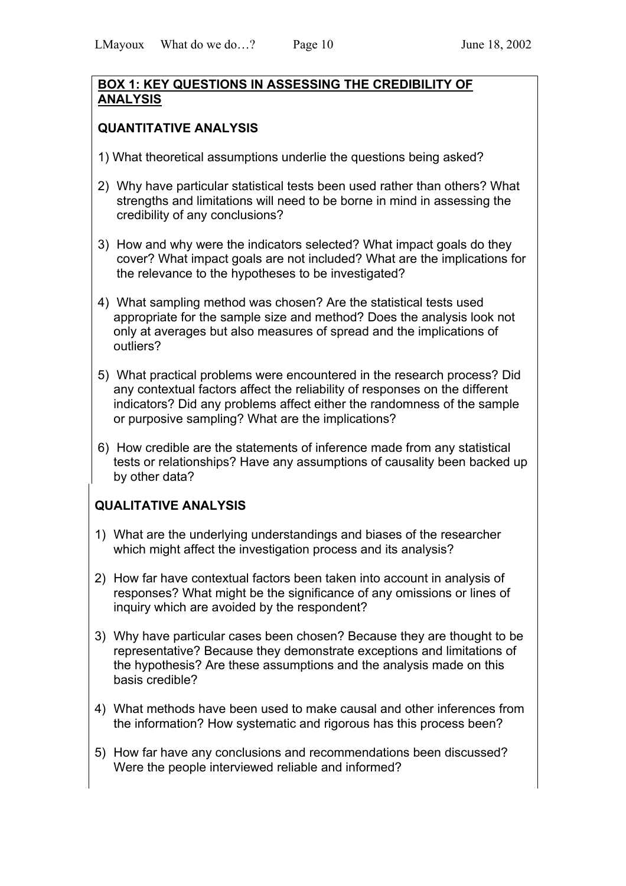## **BOX 1: KEY QUESTIONS IN ASSESSING THE CREDIBILITY OF ANALYSIS**

# **QUANTITATIVE ANALYSIS**

- 1) What theoretical assumptions underlie the questions being asked?
- 2) Why have particular statistical tests been used rather than others? What strengths and limitations will need to be borne in mind in assessing the credibility of any conclusions?
- 3) How and why were the indicators selected? What impact goals do they cover? What impact goals are not included? What are the implications for the relevance to the hypotheses to be investigated?
- 4) What sampling method was chosen? Are the statistical tests used appropriate for the sample size and method? Does the analysis look not only at averages but also measures of spread and the implications of outliers?
- 5) What practical problems were encountered in the research process? Did any contextual factors affect the reliability of responses on the different indicators? Did any problems affect either the randomness of the sample or purposive sampling? What are the implications?
- 6) How credible are the statements of inference made from any statistical tests or relationships? Have any assumptions of causality been backed up by other data?

# **QUALITATIVE ANALYSIS**

- 1) What are the underlying understandings and biases of the researcher which might affect the investigation process and its analysis?
- 2) How far have contextual factors been taken into account in analysis of responses? What might be the significance of any omissions or lines of inquiry which are avoided by the respondent?
- 3) Why have particular cases been chosen? Because they are thought to be representative? Because they demonstrate exceptions and limitations of the hypothesis? Are these assumptions and the analysis made on this basis credible?
- 4) What methods have been used to make causal and other inferences from the information? How systematic and rigorous has this process been?
- 5) How far have any conclusions and recommendations been discussed? Were the people interviewed reliable and informed?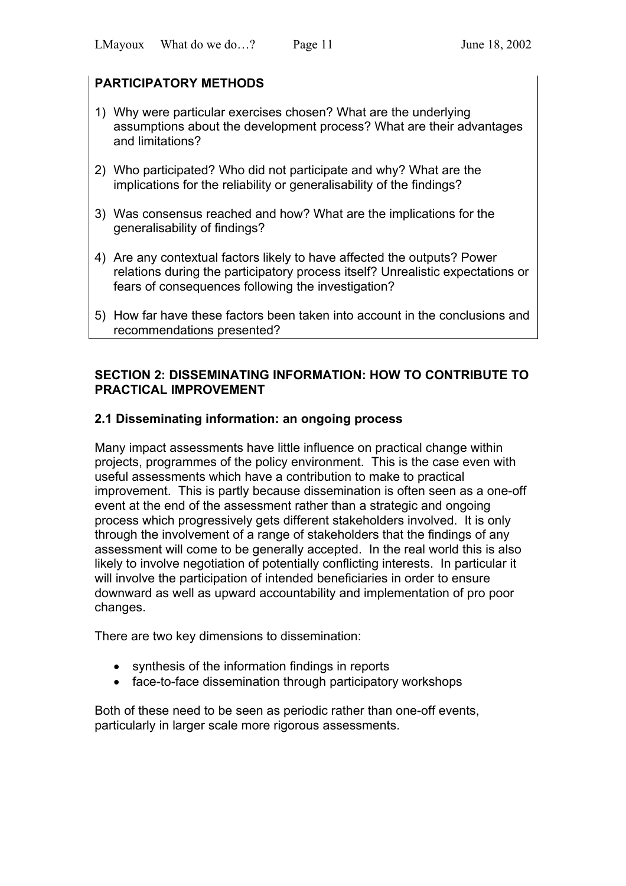# **PARTICIPATORY METHODS**

- 1) Why were particular exercises chosen? What are the underlying assumptions about the development process? What are their advantages and limitations?
- 2) Who participated? Who did not participate and why? What are the implications for the reliability or generalisability of the findings?
- 3) Was consensus reached and how? What are the implications for the generalisability of findings?
- 4) Are any contextual factors likely to have affected the outputs? Power relations during the participatory process itself? Unrealistic expectations or fears of consequences following the investigation?
- 5) How far have these factors been taken into account in the conclusions and recommendations presented?

## **SECTION 2: DISSEMINATING INFORMATION: HOW TO CONTRIBUTE TO PRACTICAL IMPROVEMENT**

## **2.1 Disseminating information: an ongoing process**

Many impact assessments have little influence on practical change within projects, programmes of the policy environment. This is the case even with useful assessments which have a contribution to make to practical improvement. This is partly because dissemination is often seen as a one-off event at the end of the assessment rather than a strategic and ongoing process which progressively gets different stakeholders involved. It is only through the involvement of a range of stakeholders that the findings of any assessment will come to be generally accepted. In the real world this is also likely to involve negotiation of potentially conflicting interests. In particular it will involve the participation of intended beneficiaries in order to ensure downward as well as upward accountability and implementation of pro poor changes.

There are two key dimensions to dissemination:

- synthesis of the information findings in reports
- face-to-face dissemination through participatory workshops

Both of these need to be seen as periodic rather than one-off events, particularly in larger scale more rigorous assessments.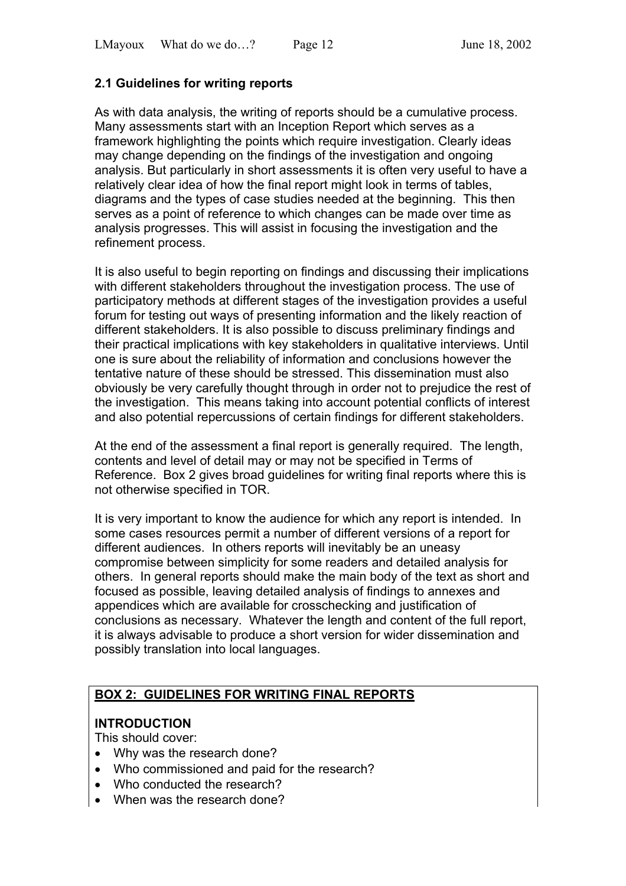# **2.1 Guidelines for writing reports**

As with data analysis, the writing of reports should be a cumulative process. Many assessments start with an Inception Report which serves as a framework highlighting the points which require investigation. Clearly ideas may change depending on the findings of the investigation and ongoing analysis. But particularly in short assessments it is often very useful to have a relatively clear idea of how the final report might look in terms of tables, diagrams and the types of case studies needed at the beginning. This then serves as a point of reference to which changes can be made over time as analysis progresses. This will assist in focusing the investigation and the refinement process.

It is also useful to begin reporting on findings and discussing their implications with different stakeholders throughout the investigation process. The use of participatory methods at different stages of the investigation provides a useful forum for testing out ways of presenting information and the likely reaction of different stakeholders. It is also possible to discuss preliminary findings and their practical implications with key stakeholders in qualitative interviews. Until one is sure about the reliability of information and conclusions however the tentative nature of these should be stressed. This dissemination must also obviously be very carefully thought through in order not to prejudice the rest of the investigation. This means taking into account potential conflicts of interest and also potential repercussions of certain findings for different stakeholders.

At the end of the assessment a final report is generally required. The length, contents and level of detail may or may not be specified in Terms of Reference. Box 2 gives broad guidelines for writing final reports where this is not otherwise specified in TOR.

It is very important to know the audience for which any report is intended. In some cases resources permit a number of different versions of a report for different audiences. In others reports will inevitably be an uneasy compromise between simplicity for some readers and detailed analysis for others. In general reports should make the main body of the text as short and focused as possible, leaving detailed analysis of findings to annexes and appendices which are available for crosschecking and justification of conclusions as necessary. Whatever the length and content of the full report, it is always advisable to produce a short version for wider dissemination and possibly translation into local languages.

# **BOX 2: GUIDELINES FOR WRITING FINAL REPORTS**

## **INTRODUCTION**

This should cover:

- Why was the research done?
- Who commissioned and paid for the research?
- Who conducted the research?
- When was the research done?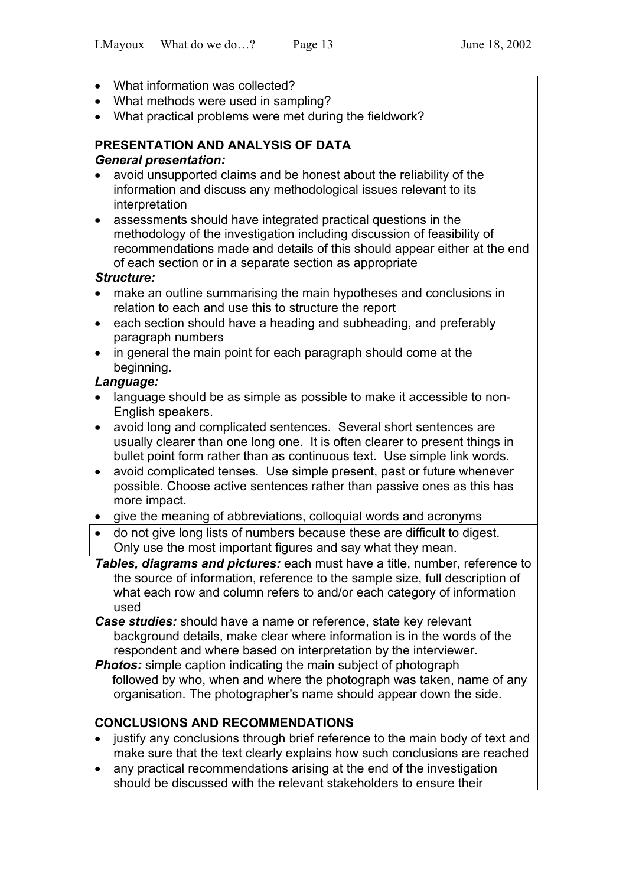- What information was collected?
- What methods were used in sampling?
- What practical problems were met during the fieldwork?

## **PRESENTATION AND ANALYSIS OF DATA**  *General presentation:*

- avoid unsupported claims and be honest about the reliability of the information and discuss any methodological issues relevant to its interpretation
- assessments should have integrated practical questions in the methodology of the investigation including discussion of feasibility of recommendations made and details of this should appear either at the end of each section or in a separate section as appropriate

## *Structure:*

- make an outline summarising the main hypotheses and conclusions in relation to each and use this to structure the report
- each section should have a heading and subheading, and preferably paragraph numbers
- in general the main point for each paragraph should come at the beginning.

## *Language:*

- language should be as simple as possible to make it accessible to non-English speakers.
- avoid long and complicated sentences. Several short sentences are usually clearer than one long one. It is often clearer to present things in bullet point form rather than as continuous text. Use simple link words.
- avoid complicated tenses. Use simple present, past or future whenever possible. Choose active sentences rather than passive ones as this has more impact.
- give the meaning of abbreviations, colloquial words and acronyms
- do not give long lists of numbers because these are difficult to digest. Only use the most important figures and say what they mean.
- *Tables, diagrams and pictures:* each must have a title, number, reference to the source of information, reference to the sample size, full description of what each row and column refers to and/or each category of information used
- *Case studies:* should have a name or reference, state key relevant background details, make clear where information is in the words of the respondent and where based on interpretation by the interviewer.
- **Photos:** simple caption indicating the main subject of photograph followed by who, when and where the photograph was taken, name of any organisation. The photographer's name should appear down the side.

# **CONCLUSIONS AND RECOMMENDATIONS**

- justify any conclusions through brief reference to the main body of text and make sure that the text clearly explains how such conclusions are reached
- any practical recommendations arising at the end of the investigation should be discussed with the relevant stakeholders to ensure their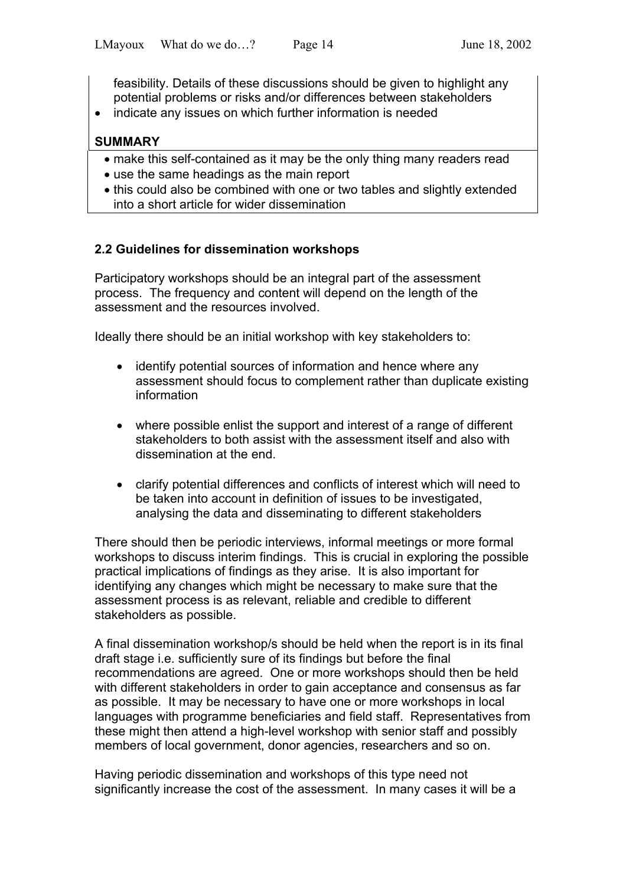feasibility. Details of these discussions should be given to highlight any potential problems or risks and/or differences between stakeholders

• indicate any issues on which further information is needed

## **SUMMARY**

- make this self-contained as it may be the only thing many readers read
- use the same headings as the main report
- this could also be combined with one or two tables and slightly extended into a short article for wider dissemination

# **2.2 Guidelines for dissemination workshops**

Participatory workshops should be an integral part of the assessment process. The frequency and content will depend on the length of the assessment and the resources involved.

Ideally there should be an initial workshop with key stakeholders to:

- identify potential sources of information and hence where any assessment should focus to complement rather than duplicate existing information
- where possible enlist the support and interest of a range of different stakeholders to both assist with the assessment itself and also with dissemination at the end.
- clarify potential differences and conflicts of interest which will need to be taken into account in definition of issues to be investigated, analysing the data and disseminating to different stakeholders

There should then be periodic interviews, informal meetings or more formal workshops to discuss interim findings. This is crucial in exploring the possible practical implications of findings as they arise. It is also important for identifying any changes which might be necessary to make sure that the assessment process is as relevant, reliable and credible to different stakeholders as possible.

A final dissemination workshop/s should be held when the report is in its final draft stage i.e. sufficiently sure of its findings but before the final recommendations are agreed. One or more workshops should then be held with different stakeholders in order to gain acceptance and consensus as far as possible. It may be necessary to have one or more workshops in local languages with programme beneficiaries and field staff. Representatives from these might then attend a high-level workshop with senior staff and possibly members of local government, donor agencies, researchers and so on.

Having periodic dissemination and workshops of this type need not significantly increase the cost of the assessment. In many cases it will be a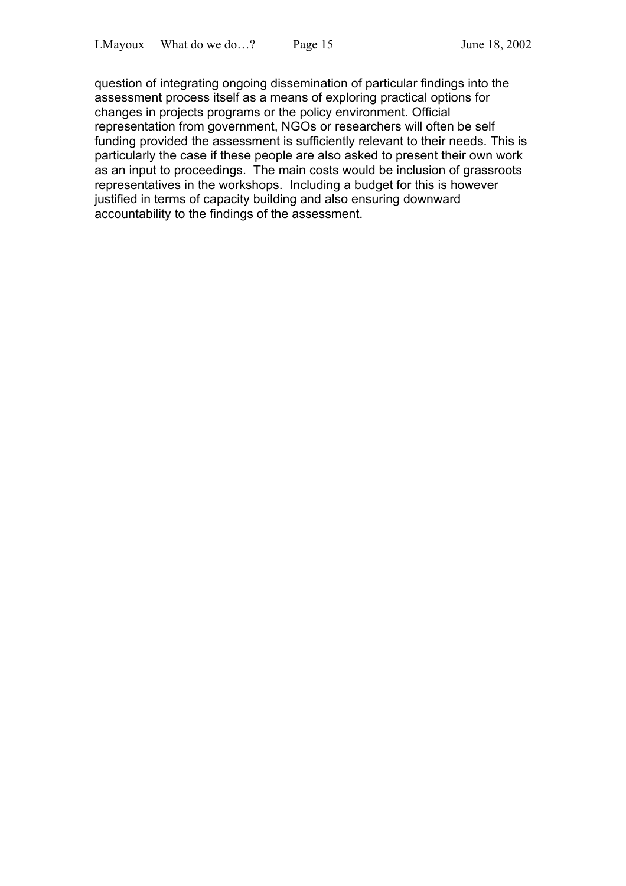question of integrating ongoing dissemination of particular findings into the assessment process itself as a means of exploring practical options for changes in projects programs or the policy environment. Official representation from government, NGOs or researchers will often be self funding provided the assessment is sufficiently relevant to their needs. This is particularly the case if these people are also asked to present their own work as an input to proceedings. The main costs would be inclusion of grassroots representatives in the workshops. Including a budget for this is however justified in terms of capacity building and also ensuring downward accountability to the findings of the assessment.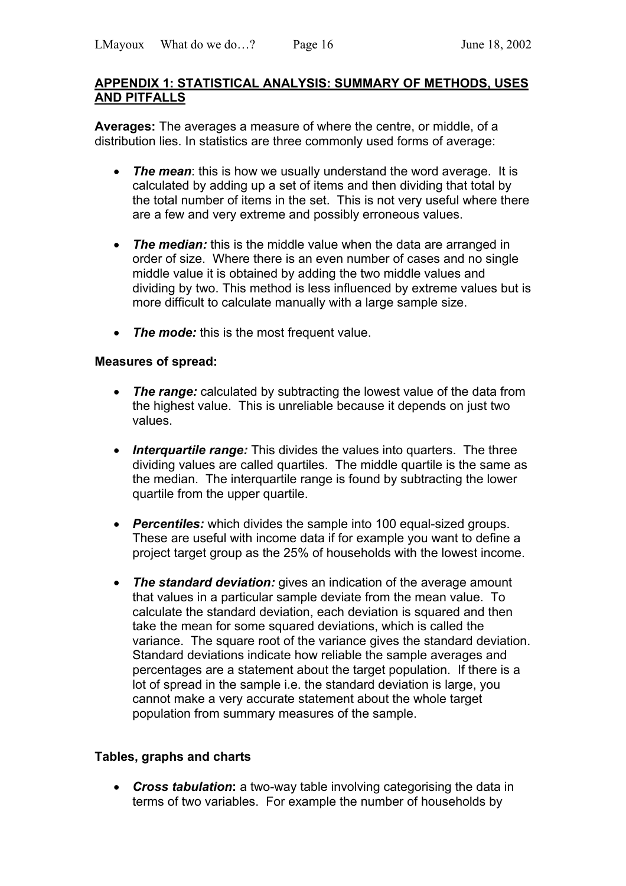### **APPENDIX 1: STATISTICAL ANALYSIS: SUMMARY OF METHODS, USES AND PITFALLS**

**Averages:** The averages a measure of where the centre, or middle, of a distribution lies. In statistics are three commonly used forms of average:

- *The mean*: this is how we usually understand the word average. It is calculated by adding up a set of items and then dividing that total by the total number of items in the set. This is not very useful where there are a few and very extreme and possibly erroneous values.
- *The median:* this is the middle value when the data are arranged in order of size. Where there is an even number of cases and no single middle value it is obtained by adding the two middle values and dividing by two. This method is less influenced by extreme values but is more difficult to calculate manually with a large sample size.
- *The mode:* this is the most frequent value.

### **Measures of spread:**

- *The range:* calculated by subtracting the lowest value of the data from the highest value. This is unreliable because it depends on just two values.
- *Interquartile range:* This divides the values into quarters. The three dividing values are called quartiles. The middle quartile is the same as the median. The interquartile range is found by subtracting the lower quartile from the upper quartile.
- *Percentiles:* which divides the sample into 100 equal-sized groups. These are useful with income data if for example you want to define a project target group as the 25% of households with the lowest income.
- *The standard deviation:* gives an indication of the average amount that values in a particular sample deviate from the mean value. To calculate the standard deviation, each deviation is squared and then take the mean for some squared deviations, which is called the variance. The square root of the variance gives the standard deviation. Standard deviations indicate how reliable the sample averages and percentages are a statement about the target population. If there is a lot of spread in the sample i.e. the standard deviation is large, you cannot make a very accurate statement about the whole target population from summary measures of the sample.

## **Tables, graphs and charts**

• *Cross tabulation***:** a two-way table involving categorising the data in terms of two variables. For example the number of households by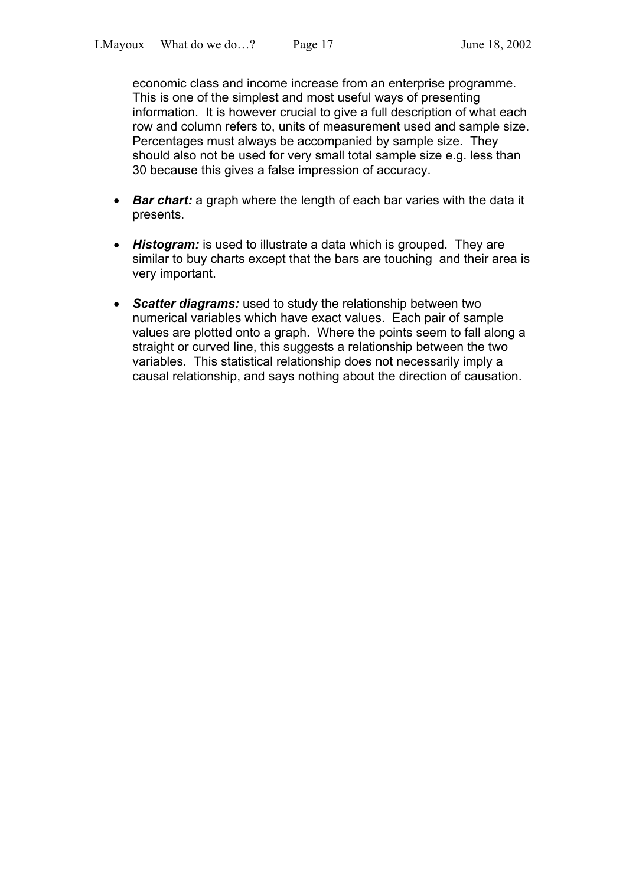economic class and income increase from an enterprise programme. This is one of the simplest and most useful ways of presenting information. It is however crucial to give a full description of what each row and column refers to, units of measurement used and sample size. Percentages must always be accompanied by sample size. They should also not be used for very small total sample size e.g. less than 30 because this gives a false impression of accuracy.

- *Bar chart:* a graph where the length of each bar varies with the data it presents.
- *Histogram:* is used to illustrate a data which is grouped. They are similar to buy charts except that the bars are touching and their area is very important.
- **Scatter diagrams:** used to study the relationship between two numerical variables which have exact values. Each pair of sample values are plotted onto a graph. Where the points seem to fall along a straight or curved line, this suggests a relationship between the two variables. This statistical relationship does not necessarily imply a causal relationship, and says nothing about the direction of causation.